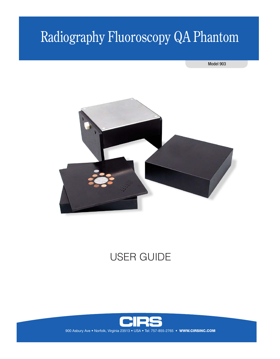# Radiography Fluoroscopy QA Phantom

Model 903



# USER GUIDE

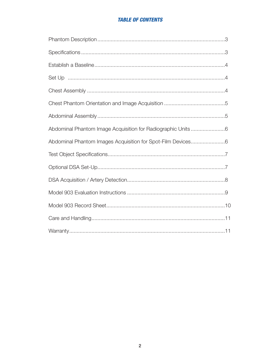# **TABLE OF CONTENTS**

| Abdominal Phantom Image Acquisition for Radiographic Units 6 |
|--------------------------------------------------------------|
| Abdominal Phantom Images Acquisition for Spot-Film Devices6  |
|                                                              |
|                                                              |
|                                                              |
|                                                              |
|                                                              |
|                                                              |
|                                                              |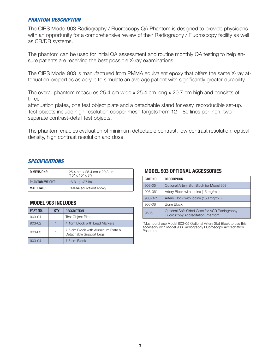#### *PHANTOM DESCRIPTION*

The CIRS Model 903 Radiography / Fluoroscopy QA Phantom is designed to provide physicians with an opportunity for a comprehensive review of their Radiography / Fluoroscopy facility as well as CR/DR systems.

The phantom can be used for initial QA assessment and routine monthly QA testing to help ensure patients are receiving the best possible X-ray examinations.

The CIRS Model 903 is manufactured from PMMA equivalent epoxy that offers the same X-ray attenuation properties as acrylic to simulate an average patient with significantly greater durability.

The overall phantom measures 25.4 cm wide x 25.4 cm long x 20.7 cm high and consists of three

attenuation plates, one test object plate and a detachable stand for easy, reproducible set-up. Test objects include high-resolution copper mesh targets from 12 – 80 lines per inch, two separate contrast-detail test objects.

The phantom enables evaluation of minimum detectable contrast, low contrast resolution, optical density, high contrast resolution and dose.

#### *SPECIFICATIONS*

| DIMENSIONS:            | 25.4 cm x 25.4 cm x 20.3 cm<br>$(10" \times 10" \times 8")$ |  |
|------------------------|-------------------------------------------------------------|--|
| <b>PHANTOM WEIGHT:</b> | 16.8 kg (37 lb)                                             |  |
| <b>MATERIALS:</b>      | PMMA-equivalent epoxy                                       |  |

#### **MODEL 903 INCLUDES**

| PART NO. | 0TY | <b>DESCRIPTION</b>                                            |
|----------|-----|---------------------------------------------------------------|
| 903-01   |     | <b>Test Object Plate</b>                                      |
| $903-02$ |     | 4.1cm Block with Lead Markers                                 |
| 903-03   |     | 7.6 cm Block with Aluminum Plate &<br>Detachable Support Legs |
| 903-04   |     | 7.6 cm Block                                                  |

#### **MODEL 903 OPTIONAL ACCESSORIES**

| PART NO.    | <b>DESCRIPTION</b>                                                                       |
|-------------|------------------------------------------------------------------------------------------|
| $903 - 05$  | Optional Artery Slot Block for Model 903                                                 |
| $903 - 06*$ | Artery Block with Iodine (15 mg/mL)                                                      |
| $903 - 07*$ | Artery Block with Iodine (150 mg/mL)                                                     |
| $903-08$    | Bone Block                                                                               |
| 9506        | Optional Soft-Sided Case for ACR Radiography<br><b>Fluoroscopy Accreditation Phantom</b> |

\*Must purchase Model 903-05 Optional Artery Slot Block to use this accessory with Model 903 Radiography Fluoroscopy Accreditation Phantom.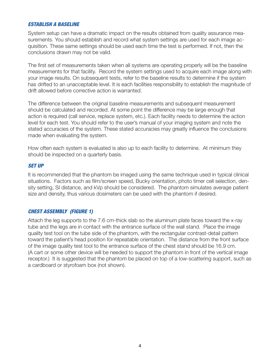#### *ESTABLISH A BASELINE*

System setup can have a dramatic impact on the results obtained from quality assurance measurements. You should establish and record what system settings are used for each image acquisition. These same settings should be used each time the test is performed. If not, then the conclusions drawn may not be valid.

The first set of measurements taken when all systems are operating properly will be the baseline measurements for that facility. Record the system settings used to acquire each image along with your image results. On subsequent tests, refer to the baseline results to determine if the system has drifted to an unacceptable level. It is each facilities responsibility to establish the magnitude of drift allowed before corrective action is warranted.

The difference between the original baseline measurements and subsequent measurement should be calculated and recorded. At some point the difference may be large enough that action is required (call service, replace system, etc.). Each facility needs to determine the action level for each test. You should refer to the user's manual of your imaging system and note the stated accuracies of the system. These stated accuracies may greatly influence the conclusions made when evaluating the system.

How often each system is evaluated is also up to each facility to determine. At minimum they should be inspected on a quarterly basis.

#### *SET UP*

It is recommended that the phantom be imaged using the same technique used in typical clinical situations. Factors such as film/screen speed, Bucky orientation, photo timer cell selection, density setting, SI distance, and kVp should be considered. The phantom simulates average patient size and density, thus various dosimeters can be used with the phantom if desired.

#### *CHEST ASSEMBLY (FIGURE 1)*

Attach the leg supports to the 7.6 cm-thick slab so the aluminum plate faces toward the x-ray tube and the legs are in contact with the entrance surface of the wall stand. Place the image quality test tool on the tube side of the phantom, with the rectangular contrast-detail pattern toward the patient's head position for repeatable orientation. The distance from the front surface of the image quality test tool to the entrance surface of the chest stand should be 16.9 cm. (A cart or some other device will be needed to support the phantom in front of the vertical image receptor.) It is suggested that the phantom be placed on top of a low-scattering support, such as a cardboard or styrofoam box (not shown).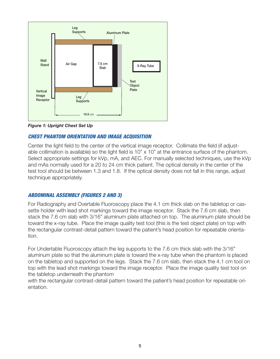

*Figure 1: Upright Chest Set Up*

### *CHEST PHANTOM ORIENTATION AND IMAGE ACQUISITION*

Center the light field to the center of the vertical image receptor. Collimate the field (if adjustable collimation is available) so the light field is  $10" \times 10"$  at the entrance surface of the phantom. Select appropriate settings for kVp, mA, and AEC. For manually selected techniques, use the kVp and mAs normally used for a 20 to 24 cm thick patient. The optical density in the center of the test tool should be between 1.3 and 1.8. If the optical density does not fall in this range, adjust technique appropriately.

#### *ABDOMINAL ASSEMBLY (FIGURES 2 AND 3)*

For Radiography and Overtable Fluoroscopy place the 4.1 cm thick slab on the tabletop or cassette holder with lead shot markings toward the image receptor. Stack the 7.6 cm slab, then stack the 7.6 cm slab with 3/16" aluminum plate attached on top. The aluminum plate should be toward the x-ray tube. Place the image quality test tool (this is the test object plate) on top with the rectangular contrast-detail pattern toward the patient's head position for repeatable orientation.

For Undertable Fluoroscopy attach the leg supports to the 7.6 cm thick slab with the 3/16" aluminum plate so that the aluminum plate is toward the x-ray tube when the phantom is placed on the tabletop and supported on the legs. Stack the 7.6 cm slab, then stack the 4.1 cm tool on top with the lead shot markings toward the image receptor. Place the image quality test tool on the tabletop underneath the phantom

with the rectangular contrast-detail pattern toward the patient's head position for repeatable orientation.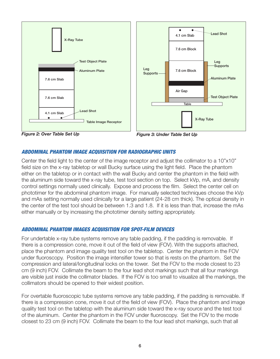

#### *ABDOMINAL PHANTOM IMAGE ACQUISITION FOR RADIOGRAPHIC UNITS*

Center the field light to the center of the image receptor and adjust the collimator to a 10"x10" field size on the x-ray tabletop or wall Bucky surface using the light field. Place the phantom either on the tabletop or in contact with the wall Bucky and center the phantom in the field with the aluminum side toward the x-ray tube, test tool section on top. Select kVp, mA, and density control settings normally used clinically. Expose and process the film. Select the center cell on phototimer for the abdominal phantom image. For manually selected techniques choose the kVp and mAs setting normally used clinically for a large patient (24-28 cm thick). The optical density in the center of the test tool should be between 1.3 and 1.8. If it is less than that, increase the mAs either manually or by increasing the phototimer density setting appropriately.

#### *ABDOMINAL PHANTOM IMAGES ACQUISITION FOR SPOT-FILM DEVICES*

For undertable x-ray tube systems remove any table padding, if the padding is removable. If there is a compression cone, move it out of the field of view (FOV). With the supports attached, place the phantom and image quality test tool on the tabletop. Center the phantom in the FOV under fluoroscopy. Position the image intensifier tower so that is rests on the phantom. Set the compression and lateral/longitudinal locks on the tower. Set the FOV to the mode closest to 23 cm (9 inch) FOV. Collimate the beam to the four lead shot markings such that all four markings are visible just inside the collimator blades. If the FOV is too small to visualize all the markings, the collimators should be opened to their widest position.

For overtable fluoroscopic tube systems remove any table padding, if the padding is removable. If there is a compression cone, move it out of the field of view (FOV). Place the phantom and image quality test tool on the tabletop with the aluminum side toward the x-ray source and the test tool of the aluminum. Center the phantom in the FOV under fluoroscopy. Set the FOV to the mode closest to 23 cm (9 inch) FOV. Collimate the beam to the four lead shot markings, such that all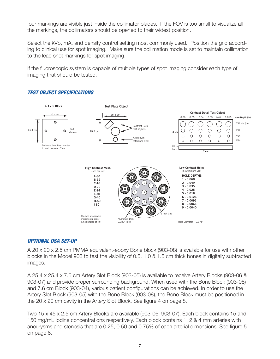four markings are visible just inside the collimator blades. If the FOV is too small to visualize all the markings, the collimators should be opened to their widest position.

Select the kVp, mA, and density control setting most commonly used. Position the grid according to clinical use for spot imaging. Make sure the collimation mode is set to maintain collimation to the lead shot markings for spot imaging.

If the fluoroscopic system is capable of multiple types of spot imaging consider each type of imaging that should be tested.



### *TEST OBJECT SPECIFICATIONS*

#### *OPTIONAL DSA SET-UP*

A 20 x 20 x 2.5 cm PMMA equivalent-epoxy Bone block (903-08) is available for use with other blocks in the Model 903 to test the visibility of 0.5, 1.0 & 1.5 cm thick bones in digitally subtracted images.

A 25.4 x 25.4 x 7.6 cm Artery Slot Block (903-05) is available to receive Artery Blocks (903-06 & 903-07) and provide proper surrounding background. When used with the Bone Block (903-08) and 7.6 cm Block (903-04), various patient configurations can be achieved. In order to use the Artery Slot Block (903-05) with the Bone Block (903-08), the Bone Block must be positioned in the 20 x 20 cm cavity in the Artery Slot Block. See figure 4 on page 8.

Two 15 x 45 x 2.5 cm Artery Blocks are available (903-06, 903-07). Each block contains 15 and 150 mg/mL iodine concentrations respectively. Each block contains 1, 2 & 4 mm arteries with aneurysms and stenosis that are 0.25, 0.50 and 0.75% of each arterial dimensions. See figure 5 on page 8.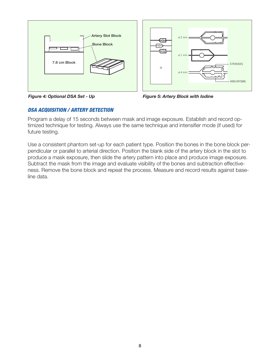



*Figure 4: Optional DSA Set - Up Figure 5: Artery Block with Iodine*

### *DSA ACQUISITION / ARTERY DETECTION*

Program a delay of 15 seconds between mask and image exposure. Establish and record optimized technique for testing. Always use the same technique and intensifier mode (if used) for future testing.

Use a consistent phantom set-up for each patient type. Position the bones in the bone block perpendicular or parallel to arterial direction. Position the blank side of the artery block in the slot to produce a mask exposure, then slide the artery pattern into place and produce image exposure. Subtract the mask from the image and evaluate visibility of the bones and subtraction effectiveness. Remove the bone block and repeat the process. Measure and record results against baseline data.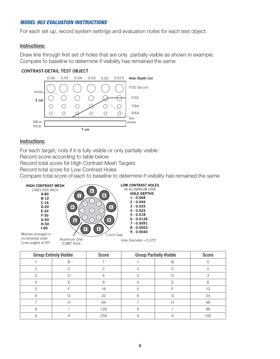#### **MODEL 903 EVALUATION INSTRUCTIONS**

For each set up, record system settings and evaluation notes for each test object.

#### Instructions:

Draw line through first set of holes that are only partially visible as shown in example. Compare to baseline to determine if visibility has remained the same

#### 25.4 cm Markers **CONTRAST-DETAIL TEST OBJECT**



#### Instructions: **3 cm**

For each target, note if it is fully visible or only partially visible Record score according to table below Record total score for High Contrast Mesh Targets

Record total score for Low Contrast Holes

Compare total score of each to baseline to determine if visibility has remained the same

| <b>HIGH CONTRAST MESH</b><br>LINES PER INCH<br>A-80<br>$B-12$<br>$C-16$<br>$D-20$<br>$E-24$<br>$F-30$<br>$G-40$<br>H-50<br>$1-60$ | 8<br>3<br>9 <sup>1</sup><br>6<br>5        | <b>LOW CONTRAST HOLES</b><br>IN ALUMINUM DISK<br><b>HOLE DEPTHS</b><br>$1 - 0.068$<br>$2 - 0.049$<br>$3 - 0.035$<br>$4 - 0.025$<br>$5 - 0.018$<br>$6 - 0.0126$<br>$7 - 0.0091$<br>$8 - 0.0063$ |
|-----------------------------------------------------------------------------------------------------------------------------------|-------------------------------------------|------------------------------------------------------------------------------------------------------------------------------------------------------------------------------------------------|
| Meshes arranged in<br>incremental order<br>Lines angled at 45°                                                                    | inch Gap<br>Aluminum Disk<br>0.080" thick | $9 - 0.0040$<br>Hole Diameter = $0.375"$                                                                                                                                                       |

|               | <b>Group Entirely Visible</b> | <b>Score</b> |   | <b>Group Partially Visible</b> | <b>Score</b> |
|---------------|-------------------------------|--------------|---|--------------------------------|--------------|
|               | B                             |              |   | В                              |              |
| $\mathcal{D}$ |                               | 2            | ≘ | $\bigcap$                      |              |
| З             |                               |              |   |                                |              |
|               |                               | 8            |   | F                              |              |
| $\sqrt{5}$    |                               | 16           | 5 |                                | 12           |
| 6             | G                             | 32           | հ | G                              | 24           |
|               | H                             | 64           |   | Н                              | 48           |
| 8             |                               | 128          | 8 |                                | 96           |
| 9             |                               | 256          |   |                                | 192          |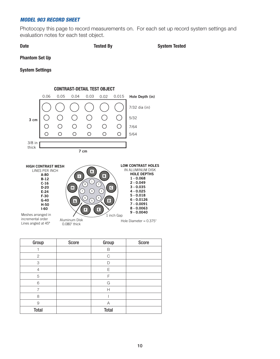## **TOP VIEW** *MODEL 903 RECORD SHEET*

Photocopy this page to record measurements on. For each set up record system settings and evaluation notes for each test object.

**Date** Tested By System Tested

**Phantom Set Up**

Distance from block center **System Settings**



incremental order Lines angled at 45º Aluminum Disk 0.080" thick

|            | $8 - 0.0063$<br>$9 - 0.0040$ |
|------------|------------------------------|
| 1 inch Gap |                              |
|            | Hole Diameter = $0.375"$     |

| Group          | <b>Score</b> | Group        | <b>Score</b> |
|----------------|--------------|--------------|--------------|
|                |              | B            |              |
| $\mathbf{2}$   |              | C            |              |
| 3              |              | D            |              |
| $\overline{4}$ |              | Ε            |              |
| 5              |              | F            |              |
| 6              |              | G            |              |
| 7              |              | Н            |              |
| 8              |              |              |              |
| 9              |              | Α            |              |
| <b>Total</b>   |              | <b>Total</b> |              |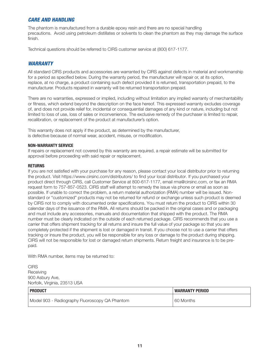#### *CARE AND HANDLING*

The phantom is manufactured from a durable epoxy resin and there are no special handling precautions. Avoid using petroleum distillates or solvents to clean the phantom as they may damage the surface finish.

Technical questions should be referred to CIRS customer service at (800) 617-1177.

#### *WARRANTY*

All standard CIRS products and accessories are warranted by CIRS against defects in material and workmanship for a period as specified below. During the warranty period, the manufacturer will repair or, at its option, replace, at no charge, a product containing such defect provided it is returned, transportation prepaid, to the manufacturer. Products repaired in warranty will be returned transportation prepaid.

There are no warranties, expressed or implied, including without limitation any implied warranty of merchantability or fitness, which extend beyond the description on the face hereof. This expressed warranty excludes coverage of, and does not provide relief for, incidental or consequential damages of any kind or nature, including but not limited to loss of use, loss of sales or inconvenience. The exclusive remedy of the purchaser is limited to repair, recalibration, or replacement of the product at manufacturer's option.

This warranty does not apply if the product, as determined by the manufacturer, is defective because of normal wear, accident, misuse, or modification.

#### **NON-WARRANTY SERVICE**

If repairs or replacement not covered by this warranty are required, a repair estimate will be submitted for approval before proceeding with said repair or replacement.

#### **RETURNS**

If you are not satisfied with your purchase for any reason, please contact your local distributor prior to returning the product. Visit https://www.cirsinc.com/distributors/ to find your local distributor. If you purchased your product direct through CIRS, call Customer Service at 800-617-1177, email rma@cirsinc.com, or fax an RMA request form to 757-857-0523. CIRS staff will attempt to remedy the issue via phone or email as soon as possible. If unable to correct the problem, a return material authorization (RMA) number will be issued. Nonstandard or "customized" products may not be returned for refund or exchange unless such product is deemed by CIRS not to comply with documented order specifications. You must return the product to CIRS within 30 calendar days of the issuance of the RMA. All returns should be packed in the original cases and or packaging and must include any accessories, manuals and documentation that shipped with the product. The RMA number must be clearly indicated on the outside of each returned package. CIRS recommends that you use a carrier that offers shipment tracking for all returns and insure the full value of your package so that you are completely protected if the shipment is lost or damaged in transit. If you choose not to use a carrier that offers tracking or insure the product, you will be responsible for any loss or damage to the product during shipping. CIRS will not be responsible for lost or damaged return shipments. Return freight and insurance is to be prepaid.

With RMA number, items may be returned to:

**CIRS Receiving** 900 Asbury Ave, Norfolk, Virginia, 23513 USA

| <b>PRODUCT</b>                                 | <b>WARRANTY PERIOD</b> |  |
|------------------------------------------------|------------------------|--|
| Model 903 - Radiography Fluoroscopy QA Phantom | 60 Months              |  |